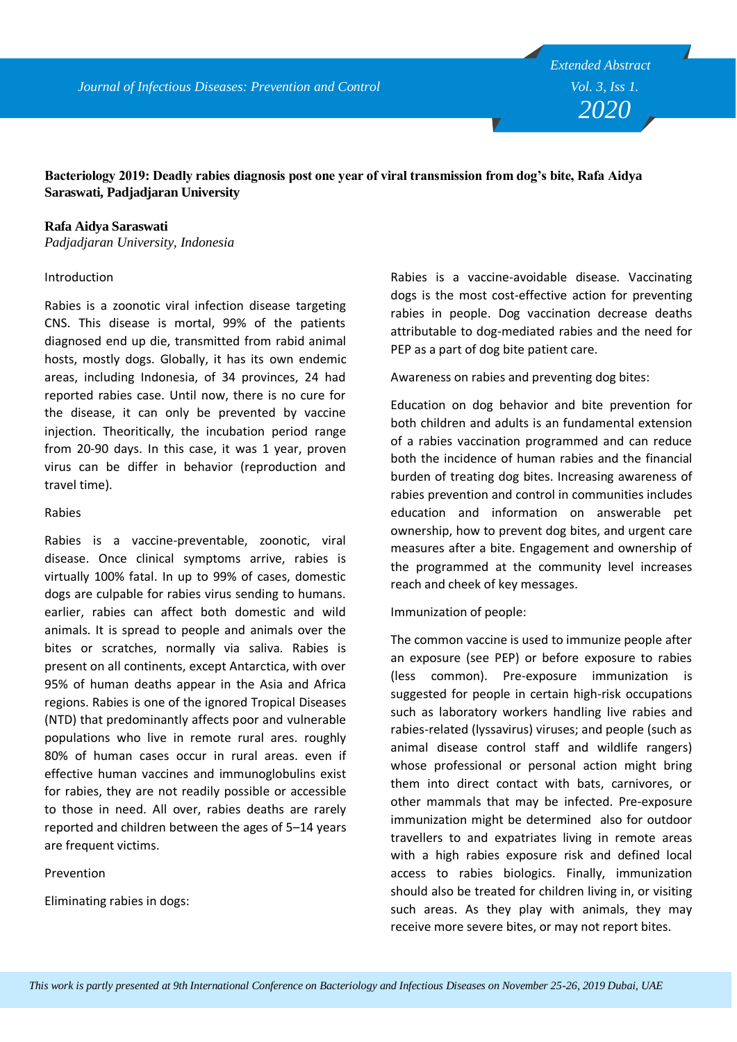**Bacteriology 2019: Deadly rabies diagnosis post one year of viral transmission from dog's bite, Rafa Aidya Saraswati, Padjadjaran University**

#### **Rafa Aidya Saraswati**

*Padjadjaran University, Indonesia*

#### Introduction

Rabies is a zoonotic viral infection disease targeting CNS. This disease is mortal, 99% of the patients diagnosed end up die, transmitted from rabid animal hosts, mostly dogs. Globally, it has its own endemic areas, including Indonesia, of 34 provinces, 24 had reported rabies case. Until now, there is no cure for the disease, it can only be prevented by vaccine injection. Theoritically, the incubation period range from 20-90 days. In this case, it was 1 year, proven virus can be differ in behavior (reproduction and travel time).

#### Rabies

Rabies is a vaccine-preventable, zoonotic, viral disease. Once clinical symptoms arrive, rabies is virtually 100% fatal. In up to 99% of cases, domestic dogs are culpable for rabies virus sending to humans. earlier, rabies can affect both domestic and wild animals. It is spread to people and animals over the bites or scratches, normally via saliva. Rabies is present on all continents, except Antarctica, with over 95% of human deaths appear in the Asia and Africa regions. Rabies is one of the ignored Tropical Diseases (NTD) that predominantly affects poor and vulnerable populations who live in remote rural ares. roughly 80% of human cases occur in rural areas. even if effective human vaccines and immunoglobulins exist for rabies, they are not readily possible or accessible to those in need. All over, rabies deaths are rarely reported and children between the ages of 5–14 years are frequent victims.

### Prevention

Eliminating rabies in dogs:

Rabies is a vaccine-avoidable disease. Vaccinating dogs is the most cost-effective action for preventing rabies in people. Dog vaccination decrease deaths attributable to dog-mediated rabies and the need for PEP as a part of dog bite patient care.

Awareness on rabies and preventing dog bites:

Education on dog behavior and bite prevention for both children and adults is an fundamental extension of a rabies vaccination programmed and can reduce both the incidence of human rabies and the financial burden of treating dog bites. Increasing awareness of rabies prevention and control in communities includes education and information on answerable pet ownership, how to prevent dog bites, and urgent care measures after a bite. Engagement and ownership of the programmed at the community level increases reach and cheek of key messages.

Immunization of people:

The common vaccine is used to immunize people after an exposure (see PEP) or before exposure to rabies (less common). Pre-exposure immunization is suggested for people in certain high-risk occupations such as laboratory workers handling live rabies and rabies-related (lyssavirus) viruses; and people (such as animal disease control staff and wildlife rangers) whose professional or personal action might bring them into direct contact with bats, carnivores, or other mammals that may be infected. Pre-exposure immunization might be determined also for outdoor travellers to and expatriates living in remote areas with a high rabies exposure risk and defined local access to rabies biologics. Finally, immunization should also be treated for children living in, or visiting such areas. As they play with animals, they may receive more severe bites, or may not report bites.